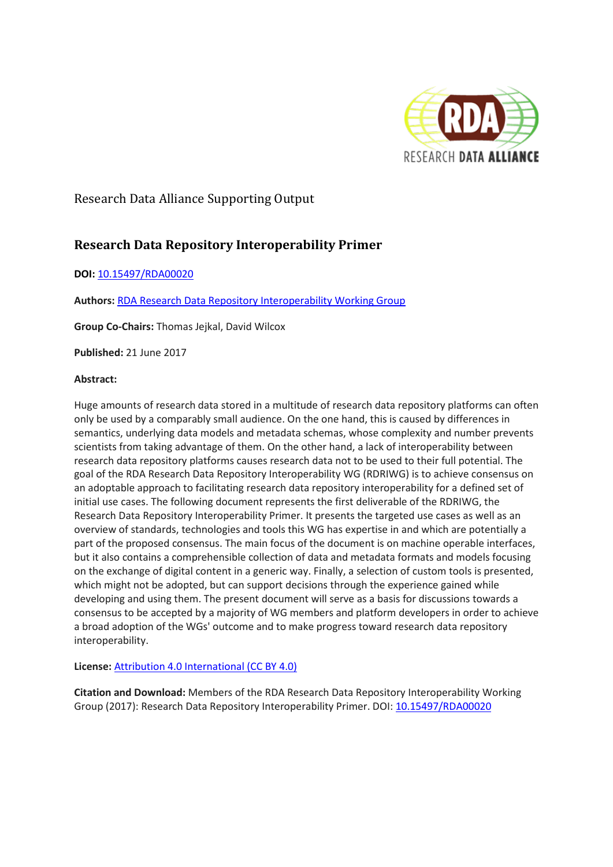

# Research Data Alliance Supporting Output

# **Research Data Repository Interoperability Primer**

#### **DOI:** [10.15497/RDA00020](http://dx.doi.org/10.15497/RDA00020)

**Authors:** [RDA Research Data Repository Interoperability Working Group](https://www.rd-alliance.org/groups/research-data-repository-interoperability-wg.html)

**Group Co-Chairs:** Thomas Jejkal, David Wilcox

**Published:** 21 June 2017

#### **Abstract:**

Huge amounts of research data stored in a multitude of research data repository platforms can often only be used by a comparably small audience. On the one hand, this is caused by differences in semantics, underlying data models and metadata schemas, whose complexity and number prevents scientists from taking advantage of them. On the other hand, a lack of interoperability between research data repository platforms causes research data not to be used to their full potential. The goal of the RDA Research Data Repository Interoperability WG (RDRIWG) is to achieve consensus on an adoptable approach to facilitating research data repository interoperability for a defined set of initial use cases. The following document represents the first deliverable of the RDRIWG, the Research Data Repository Interoperability Primer. It presents the targeted use cases as well as an overview of standards, technologies and tools this WG has expertise in and which are potentially a part of the proposed consensus. The main focus of the document is on machine operable interfaces, but it also contains a comprehensible collection of data and metadata formats and models focusing on the exchange of digital content in a generic way. Finally, a selection of custom tools is presented, which might not be adopted, but can support decisions through the experience gained while developing and using them. The present document will serve as a basis for discussions towards a consensus to be accepted by a majority of WG members and platform developers in order to achieve a broad adoption of the WGs' outcome and to make progress toward research data repository interoperability.

#### **License:** [Attribution 4.0 International \(CC BY 4.0\)](https://creativecommons.org/licenses/by/4.0/)

**Citation and Download:** Members of the RDA Research Data Repository Interoperability Working Group (2017): Research Data Repository Interoperability Primer. DOI: [10.15497/RDA00020](http://dx.doi.org/10.15497/RDA00020)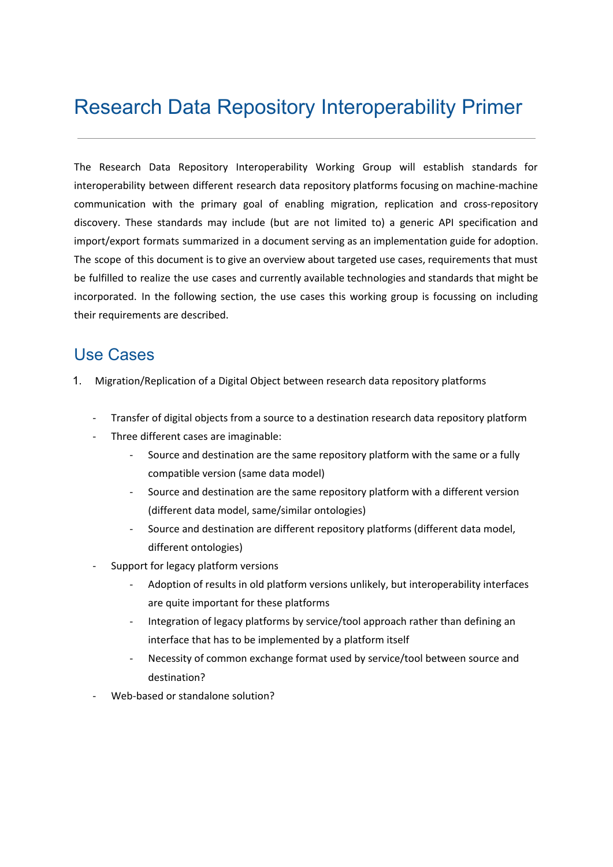# Research Data Repository Interoperability Primer

The Research Data Repository Interoperability Working Group will establish standards for interoperability between different research data repository platforms focusing on machine-machine communication with the primary goal of enabling migration, replication and cross-repository discovery. These standards may include (but are not limited to) a generic API specification and import/export formats summarized in a document serving as an implementation guide for adoption. The scope of this document is to give an overview about targeted use cases, requirements that must be fulfilled to realize the use cases and currently available technologies and standards that might be incorporated. In the following section, the use cases this working group is focussing on including their requirements are described.

# Use Cases

- 1. Migration/Replication of a Digital Object between research data repository platforms
	- Transfer of digital objects from a source to a destination research data repository platform
	- Three different cases are imaginable:
		- Source and destination are the same repository platform with the same or a fully compatible version (same data model)
		- Source and destination are the same repository platform with a different version (different data model, same/similar ontologies)
		- Source and destination are different repository platforms (different data model, different ontologies)
	- Support for legacy platform versions
		- Adoption of results in old platform versions unlikely, but interoperability interfaces are quite important for these platforms
		- Integration of legacy platforms by service/tool approach rather than defining an interface that has to be implemented by a platform itself
		- Necessity of common exchange format used by service/tool between source and destination?
	- Web-based or standalone solution?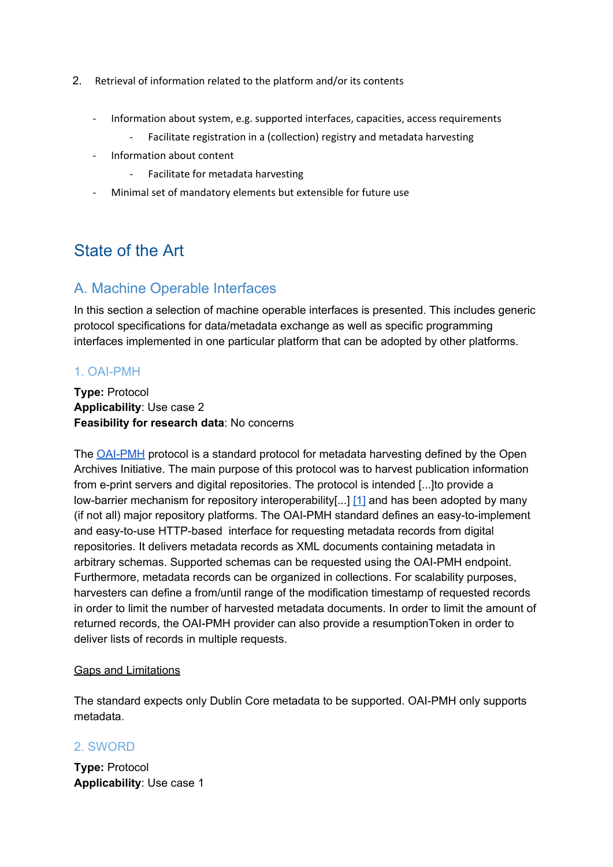- 2. Retrieval of information related to the platform and/or its contents
	- Information about system, e.g. supported interfaces, capacities, access requirements
		- Facilitate registration in a (collection) registry and metadata harvesting
	- Information about content
		- Facilitate for metadata harvesting
	- Minimal set of mandatory elements but extensible for future use

# State of the Art

# A. Machine Operable Interfaces

In this section a selection of machine operable interfaces is presented. This includes generic protocol specifications for data/metadata exchange as well as specific programming interfaces implemented in one particular platform that can be adopted by other platforms.

# 1. OAI-PMH

**Type:** Protocol **Applicability**: Use case 2 **Feasibility for research data**: No concerns

The [OAI-PMH](https://www.openarchives.org/OAI/openarchivesprotocol.html) protocol is a standard protocol for metadata harvesting defined by the Open Archives Initiative. The main purpose of this protocol was to harvest publication information from e-print servers and digital repositories. The protocol is intended [...]to provide a low-barrier mechanism for repository interoperability[...] [\[1\]](https://www.openarchives.org/pmh/) and has been adopted by many (if not all) major repository platforms. The OAI-PMH standard defines an easy-to-implement and easy-to-use HTTP-based interface for requesting metadata records from digital repositories. It delivers metadata records as XML documents containing metadata in arbitrary schemas. Supported schemas can be requested using the OAI-PMH endpoint. Furthermore, metadata records can be organized in collections. For scalability purposes, harvesters can define a from/until range of the modification timestamp of requested records in order to limit the number of harvested metadata documents. In order to limit the amount of returned records, the OAI-PMH provider can also provide a resumptionToken in order to deliver lists of records in multiple requests.

#### Gaps and Limitations

The standard expects only Dublin Core metadata to be supported. OAI-PMH only supports metadata.

# 2. SWORD

**Type:** Protocol **Applicability**: Use case 1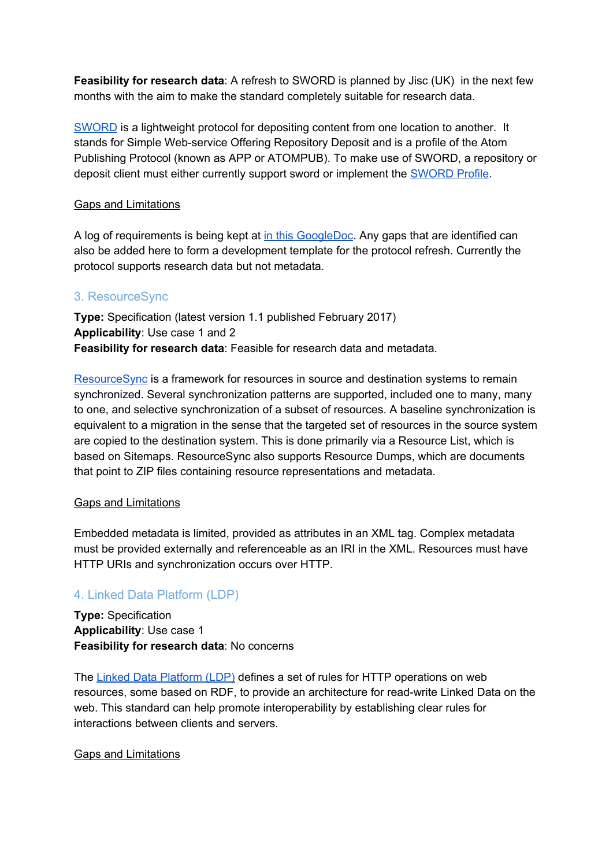**Feasibility for research data**: A refresh to SWORD is planned by Jisc (UK) in the next few months with the aim to make the standard completely suitable for research data.

[SWORD](http://swordapp.org/) is a lightweight protocol for depositing content from one location to another. It stands for Simple Web-service Offering Repository Deposit and is a profile of the Atom Publishing Protocol (known as APP or ATOMPUB). To make use of SWORD, a repository or deposit client must either currently support sword or implement the [SWORD](http://purl.org/net/sword/) Profile.

#### Gaps and Limitations

A log of requirements is being kept at in this [GoogleDoc.](https://docs.google.com/document/d/1Rh80CbH3F7P8pqK4CqyEMpi-efDclETRMNqyqPO71Z0/edit) Any gaps that are identified can also be added here to form a development template for the protocol refresh. Currently the protocol supports research data but not metadata.

# 3. ResourceSync

**Type:** Specification (latest version 1.1 published February 2017) **Applicability**: Use case 1 and 2 **Feasibility for research data**: Feasible for research data and metadata.

[ResourceSync](http://www.openarchives.org/rs/toc) is a framework for resources in source and destination systems to remain synchronized. Several synchronization patterns are supported, included one to many, many to one, and selective synchronization of a subset of resources. A baseline synchronization is equivalent to a migration in the sense that the targeted set of resources in the source system are copied to the destination system. This is done primarily via a Resource List, which is based on Sitemaps. ResourceSync also supports Resource Dumps, which are documents that point to ZIP files containing resource representations and metadata.

#### Gaps and Limitations

Embedded metadata is limited, provided as attributes in an XML tag. Complex metadata must be provided externally and referenceable as an IRI in the XML. Resources must have HTTP URIs and synchronization occurs over HTTP.

# 4. Linked Data Platform (LDP)

**Type:** Specification **Applicability**: Use case 1 **Feasibility for research data**: No concerns

The Linked Data [Platform](https://www.w3.org/TR/ldp/) (LDP) defines a set of rules for HTTP operations on web resources, some based on RDF, to provide an architecture for read-write Linked Data on the web. This standard can help promote interoperability by establishing clear rules for interactions between clients and servers.

#### Gaps and Limitations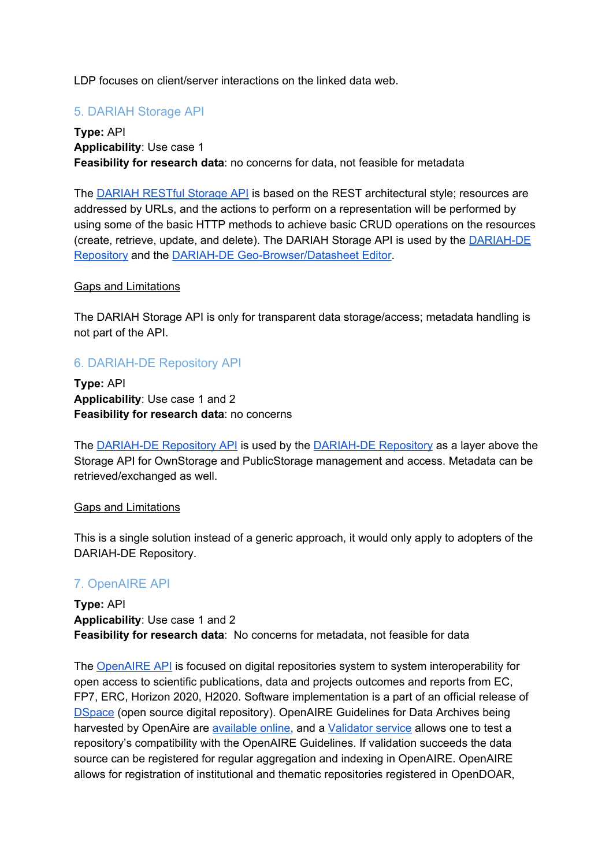LDP focuses on client/server interactions on the linked data web.

# 5. DARIAH Storage API

**Type:** API **Applicability**: Use case 1 **Feasibility for research data**: no concerns for data, not feasible for metadata

The [DARIAH](https://wiki.de.dariah.eu/download/attachments/10618851/DARIAH-Storage-API-v1.0_final.pdf) RESTful Storage API is based on the REST architectural style; resources are addressed by URLs, and the actions to perform on a representation will be performed by using some of the basic HTTP methods to achieve basic CRUD operations on the resources (create, retrieve, update, and delete). The DARIAH Storage API is used by the [DARIAH-DE](https://de.dariah.eu/repository) [Repository](https://de.dariah.eu/repository) and the DARIAH-DE [Geo-Browser/Datasheet](https://wiki.de.dariah.eu/display/publicde/Geo-Browser+Dokumentation) Editor.

#### Gaps and Limitations

The DARIAH Storage API is only for transparent data storage/access; metadata handling is not part of the API.

### 6. DARIAH-DE Repository API

**Type:** API **Applicability**: Use case 1 and 2 **Feasibility for research data**: no concerns

The [DARIAH-DE](http://repository.de.dariah.eu/doc/services/) Repository API is used by the [DARIAH-DE](https://de.dariah.eu/repository) Repository as a layer above the Storage API for OwnStorage and PublicStorage management and access. Metadata can be retrieved/exchanged as well.

#### Gaps and Limitations

This is a single solution instead of a generic approach, it would only apply to adopters of the DARIAH-DE Repository.

# 7. OpenAIRE API

**Type:** API **Applicability**: Use case 1 and 2 **Feasibility for research data**: No concerns for metadata, not feasible for data

The [OpenAIRE](http://api.openaire.eu/) API is focused on digital repositories system to system interoperability for open access to scientific publications, data and projects outcomes and reports from EC, FP7, ERC, Horizon 2020, H2020. Software implementation is a part of an official release of [DSpace](http://www.dspace.org/) (open source digital repository). OpenAIRE Guidelines for Data Archives being harvested by OpenAire are [available](https://guidelines.openaire.eu/en/latest/data/index.html) online, and a [Validator](http://validator.openaire.eu/) service allows one to test a repository's compatibility with the OpenAIRE Guidelines. If validation succeeds the data source can be registered for regular aggregation and indexing in OpenAIRE. OpenAIRE allows for registration of institutional and thematic repositories registered in OpenDOAR,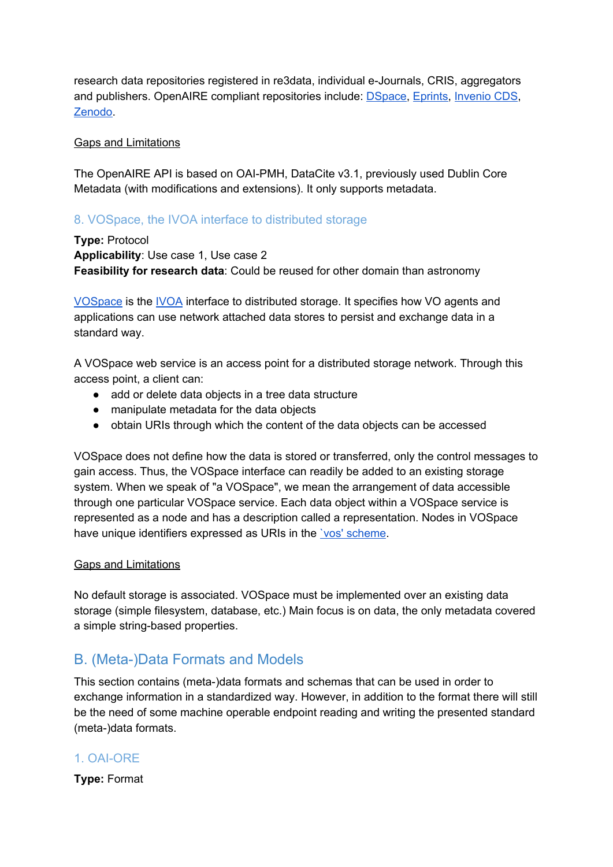research data repositories registered in re3data, individual e-Journals, CRIS, aggregators and publishers. OpenAIRE compliant repositories include: [DSpace,](http://www.dspace.org/) [Eprints,](http://www.eprints.org/) [Invenio](http://invenio-software.org/) CDS, [Zenodo.](https://zenodo.org/)

#### Gaps and Limitations

The OpenAIRE API is based on OAI-PMH, DataCite v3.1, previously used Dublin Core Metadata (with modifications and extensions). It only supports metadata.

#### 8. VOSpace, the IVOA interface to distributed storage

**Type:** Protocol **Applicability**: Use case 1, Use case 2 **Feasibility for research data**: Could be reused for other domain than astronomy

[VOSpace](http://www.ivoa.net/documents/VOSpace/) is the [IVOA](http://www.ivoa.net/) interface to distributed storage. It specifies how VO agents and applications can use network attached data stores to persist and exchange data in a standard way.

A VOSpace web service is an access point for a distributed storage network. Through this access point, a client can:

- add or delete data objects in a tree data structure
- manipulate metadata for the data objects
- obtain URIs through which the content of the data objects can be accessed

VOSpace does not define how the data is stored or transferred, only the control messages to gain access. Thus, the VOSpace interface can readily be added to an existing storage system. When we speak of "a VOSpace", we mean the arrangement of data accessible through one particular VOSpace service. Each data object within a VOSpace service is represented as a node and has a description called a representation. Nodes in VOSpace have unique identifiers expressed as URIs in the <u>'vos' scheme</u>.

#### Gaps and Limitations

No default storage is associated. VOSpace must be implemented over an existing data storage (simple filesystem, database, etc.) Main focus is on data, the only metadata covered a simple string-based properties.

# B. (Meta-)Data Formats and Models

This section contains (meta-)data formats and schemas that can be used in order to exchange information in a standardized way. However, in addition to the format there will still be the need of some machine operable endpoint reading and writing the presented standard (meta-)data formats.

# 1. OAI-ORE

**Type:** Format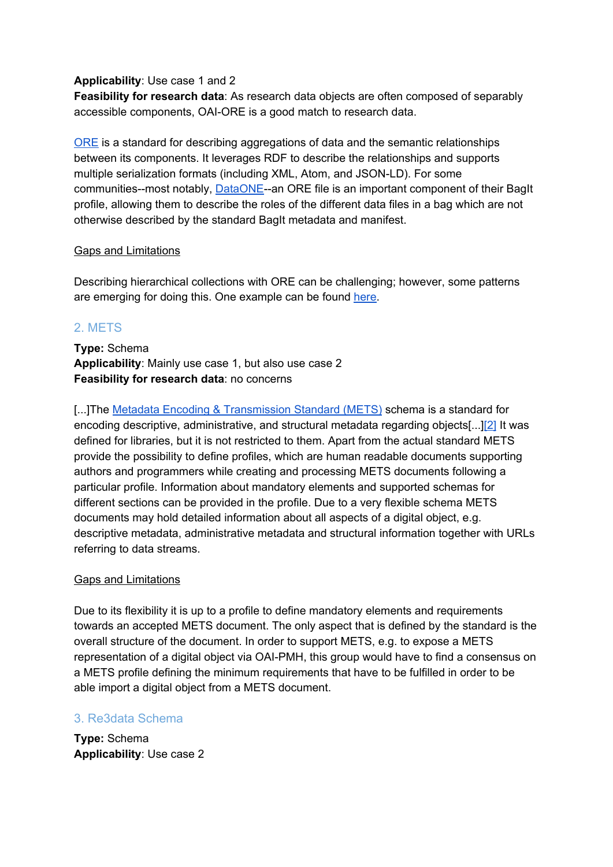#### **Applicability**: Use case 1 and 2

**Feasibility for research data**: As research data objects are often composed of separably accessible components, OAI-ORE is a good match to research data.

[ORE](https://www.openarchives.org/ore/) is a standard for describing aggregations of data and the semantic relationships between its components. It leverages RDF to describe the relationships and supports multiple serialization formats (including XML, Atom, and JSON-LD). For some communities--most notably, [DataONE-](https://www.dataone.org/)-an ORE file is an important component of their BagIt profile, allowing them to describe the roles of the different data files in a bag which are not otherwise described by the standard BagIt metadata and manifest.

#### Gaps and Limitations

Describing hierarchical collections with ORE can be challenging; however, some patterns are emerging for doing this. One example can be found [here](https://knb.ecoinformatics.org/#view/doi:10.5063/F19Z92TW).

# 2. METS

**Type:** Schema **Applicability**: Mainly use case 1, but also use case 2 **Feasibility for research data**: no concerns

[...]The Metadata Encoding & [Transmission](http://www.loc.gov/standards/mets/) Standard (METS) schema is a standard for encoding descriptive, administrative, and structural metadata regarding objects[...][\[2\]](http://www.loc.gov/standards/mets/) It was defined for libraries, but it is not restricted to them. Apart from the actual standard METS provide the possibility to define profiles, which are human readable documents supporting authors and programmers while creating and processing METS documents following a particular profile. Information about mandatory elements and supported schemas for different sections can be provided in the profile. Due to a very flexible schema METS documents may hold detailed information about all aspects of a digital object, e.g. descriptive metadata, administrative metadata and structural information together with URLs referring to data streams.

#### Gaps and Limitations

Due to its flexibility it is up to a profile to define mandatory elements and requirements towards an accepted METS document. The only aspect that is defined by the standard is the overall structure of the document. In order to support METS, e.g. to expose a METS representation of a digital object via OAI-PMH, this group would have to find a consensus on a METS profile defining the minimum requirements that have to be fulfilled in order to be able import a digital object from a METS document.

#### 3. Re3data Schema

**Type:** Schema **Applicability**: Use case 2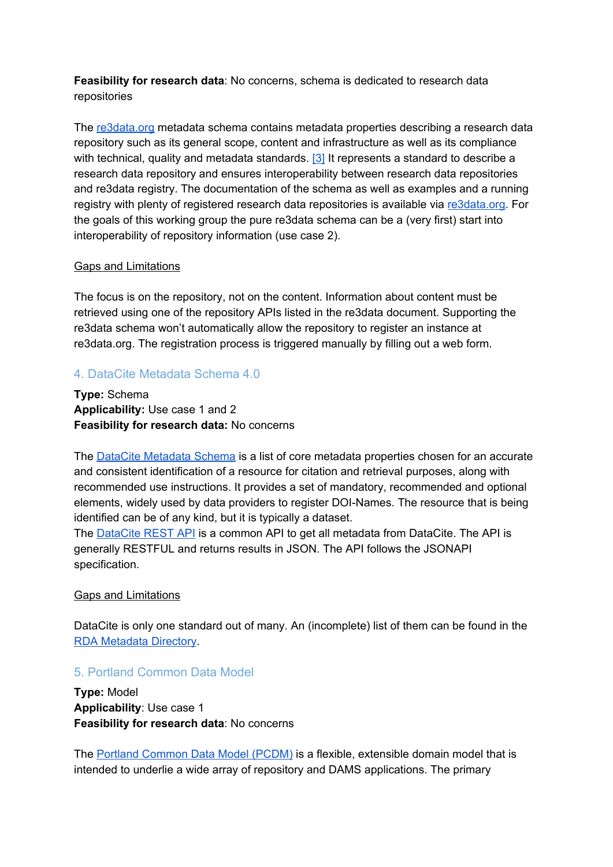**Feasibility for research data**: No concerns, schema is dedicated to research data repositories

The [re3data.org](http://www.re3data.org/) metadata schema contains metadata properties describing a research data repository such as its general scope, content and infrastructure as well as its compliance with technical, quality and metadata standards. [\[3\]](http://doi.org/10.2312/re3.008) It represents a standard to describe a research data repository and ensures interoperability between research data repositories and re3data registry. The documentation of the schema as well as examples and a running registry with plenty of registered research data repositories is available via [re3data.org.](http://www.re3data.org/) For the goals of this working group the pure re3data schema can be a (very first) start into interoperability of repository information (use case 2).

#### Gaps and Limitations

The focus is on the repository, not on the content. Information about content must be retrieved using one of the repository APIs listed in the re3data document. Supporting the re3data schema won't automatically allow the repository to register an instance at re3data.org. The registration process is triggered manually by filling out a web form.

#### 4. DataCite Metadata Schema 4.0

**Type:** Schema **Applicability:** Use case 1 and 2 **Feasibility for research data:** No concerns

The DataCite [Metadata](http://schema.datacite.org/) Schema is a list of core metadata properties chosen for an accurate and consistent identification of a resource for citation and retrieval purposes, along with recommended use instructions. It provides a set of mandatory, recommended and optional elements, widely used by data providers to register DOI-Names. The resource that is being identified can be of any kind, but it is typically a dataset[.](http://schema.datacite.org/meta/kernel-4.0/doc/DataCite-MetadataKernel_v4.0.pdf)

The [DataCite](https://api.datacite.org/) REST API is a common API to get all metadata from DataCite. The API is generally RESTFUL and returns results in JSON. The API follows the [JSONAPI](http://jsonapi.org/) specification.

#### Gaps and Limitations

DataCite is only one standard out of many. An (incomplete) list of them can be found in the RDA [Metadata](http://rd-alliance.github.io/metadata-directory/standards/) Directory.

#### 5. Portland Common Data Model

**Type:** Model **Applicability**: Use case 1 **Feasibility for research data**: No concerns

The Portland [Common](https://github.com/duraspace/pcdm/wiki) Data Model (PCDM) is a flexible, extensible domain model that is intended to underlie a wide array of repository and DAMS applications. The primary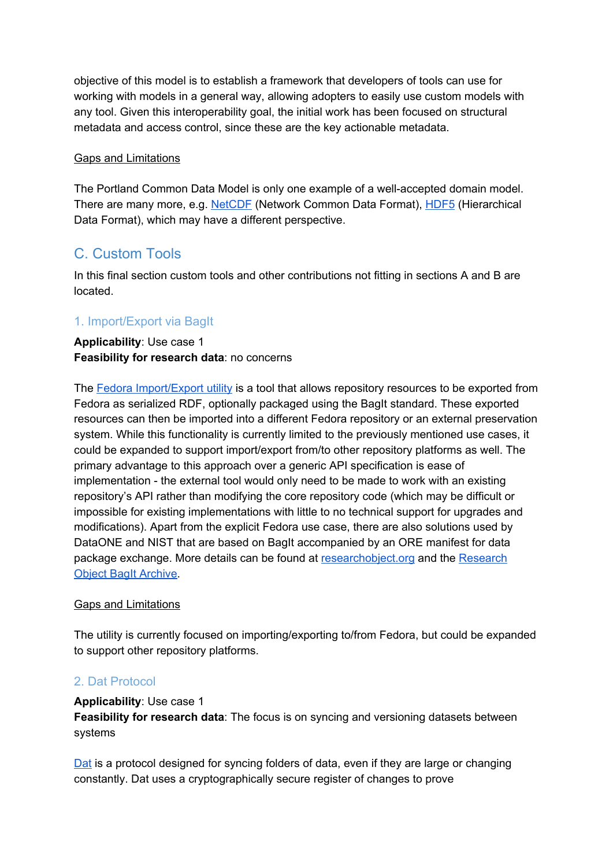objective of this model is to establish a framework that developers of tools can use for working with models in a general way, allowing adopters to easily use custom models with any tool. Given this interoperability goal, the initial work has been focused on structural metadata and access control, since these are the key actionable metadata.

#### Gaps and Limitations

The Portland Common Data Model is only one example of a well-accepted domain model. There are many more, e.g. [NetCDF](https://www.unidata.ucar.edu/software/netcdf/) (Network Common Data Format), [HDF5](https://support.hdfgroup.org/HDF5/) (Hierarchical Data Format), which may have a different perspective.

# C. Custom Tools

In this final section custom tools and other contributions not fitting in sections A and B are located.

# 1. Import/Export via BagIt

#### **Applicability**: Use case 1 **Feasibility for research data**: no concerns

The Fedora [Import/Export](https://github.com/fcrepo4-labs/fcrepo-import-export) utility is a tool that allows repository resources to be exported from Fedora as serialized RDF, optionally packaged using the BagIt standard. These exported resources can then be imported into a different Fedora repository or an external preservation system. While this functionality is currently limited to the previously mentioned use cases, it could be expanded to support import/export from/to other repository platforms as well. The primary advantage to this approach over a generic API specification is ease of implementation - the external tool would only need to be made to work with an existing repository's API rather than modifying the core repository code (which may be difficult or impossible for existing implementations with little to no technical support for upgrades and modifications). Apart from the explicit Fedora use case, there are also solutions used by DataONE and NIST that are based on BagIt accompanied by an ORE manifest for data package exchange. More details can be found at [researchobject.org](http://www.researchobject.org/) and the [Research](https://github.com/ResearchObject/bagit-ro) **Object BagIt [Archive.](https://github.com/ResearchObject/bagit-ro)** 

#### Gaps and Limitations

The utility is currently focused on importing/exporting to/from Fedora, but could be expanded to support other repository platforms.

# 2. Dat Protocol

#### **Applicability**: Use case 1

**Feasibility for research data**: The focus is on syncing and versioning datasets between systems

[Dat](https://www.datprotocol.com/) is a protocol designed for syncing folders of data, even if they are large or changing constantly. Dat uses a cryptographically secure register of changes to prove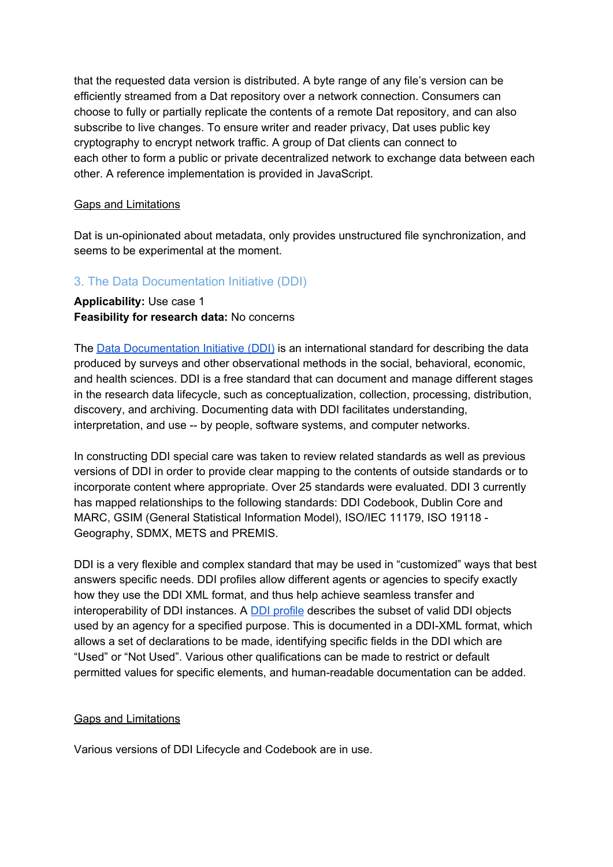that the requested data version is distributed. A byte range of any file's version can be efficiently streamed from a Dat repository over a network connection. Consumers can choose to fully or partially replicate the contents of a remote Dat repository, and can also subscribe to live changes. To ensure writer and reader privacy, Dat uses public key cryptography to encrypt network traffic. A group of Dat clients can connect to each other to form a public or private decentralized network to exchange data between each other. A reference implementation is provided in JavaScript.

#### Gaps and Limitations

Dat is un-opinionated about metadata, only provides unstructured file synchronization, and seems to be experimental at the moment.

# 3. The Data Documentation Initiative (DDI)

#### **Applicability:** Use case 1 **Feasibility for research data:** No concerns

The Data [Documentation](http://www.ddialliance.org/resources/ddi-profiles) Initiative (DDI) is an international standard for describing the data produced by surveys and other observational methods in the social, behavioral, economic, and health sciences. DDI is a free standard that can document and manage different stages in the research data lifecycle, such as conceptualization, collection, processing, distribution, discovery, and archiving. Documenting data with DDI facilitates understanding, interpretation, and use -- by people, software systems, and computer networks[.](http://www.ddialliance.org/explore-documentation)

In constructing DDI special care was taken to review related standards as well as previous versions of DDI in order to provide clear mapping to the contents of outside standards or to incorporate content where appropriate. Over 25 standards were evaluated. DDI 3 currently has mapped relationships to the following standards: DDI [Codebook,](http://www.ddialliance.org/standards/relationship-to-other-standards#codebook) [Dublin](http://www.ddialliance.org/standards/relationship-to-other-standards#dublin) Core and [MARC,](http://www.ddialliance.org/standards/relationship-to-other-standards#dublin) GSIM (General Statistical [Information](http://www.ddialliance.org/standards/relationship-to-other-standards#gsim) Model), [ISO/IEC](http://www.ddialliance.org/standards/relationship-to-other-standards#ISO) 11179, ISO [19118](http://www.ddialliance.org/standards/relationship-to-other-standards#geography) - [Geography,](http://www.ddialliance.org/standards/relationship-to-other-standards#geography) [SDMX,](http://www.ddialliance.org/standards/relationship-to-other-standards#SDMX) METS and [PREMIS.](http://www.ddialliance.org/standards/relationship-to-other-standards#mets)

DDI is a very flexible and complex standard that may be used in "customized" ways that best answers specific needs. DDI profiles allow different agents or agencies to specify exactly how they use the DDI XML format, and thus help achieve seamless transfer and interoperability of DDI instances. A **DDI [profile](http://www.ddialliance.org/resources/ddi-profiles) describes the subset of valid DDI objects** used by an agency for a specified purpose. This is documented in a DDI-XML format, which allows a set of declarations to be made, identifying specific fields in the DDI which are "Used" or "Not Used". Various other qualifications can be made to restrict or default permitted values for specific elements, and human-readable documentation can be added.

#### Gaps and Limitations

Various versions of DDI Lifecycle and Codebook are in use.